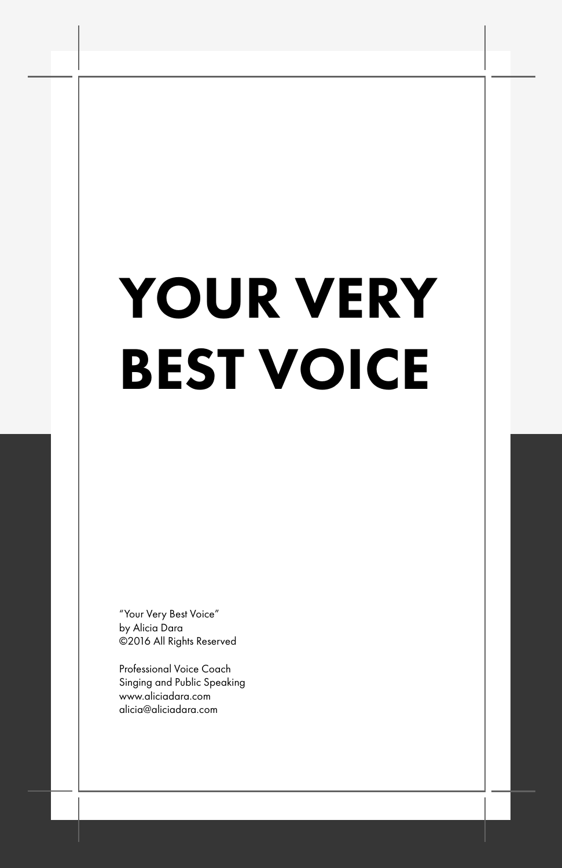# YOUR VERY BEST VOICE

"Your Very Best Voice" by Alicia Dara ©2016 All Rights Reserved

Professional Voice Coach Singing and Public Speaking www.aliciadara.com alicia@aliciadara.com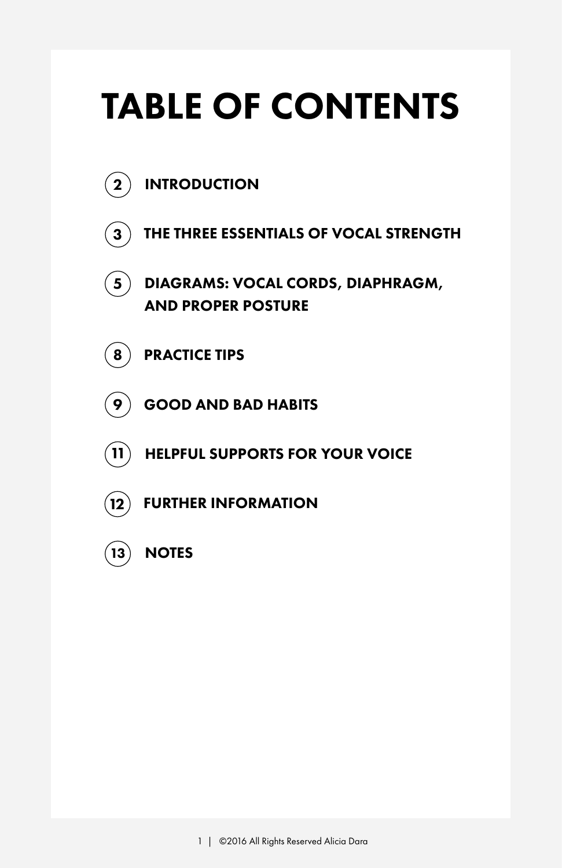# TABLE OF CONTENTS

- $\mathbf{(2)}$  INTRODUCTION
- $\mathbf{a}^{\mathsf{T}}$  ) THE THREE ESSENTIALS OF VOCAL STRENGTH
- DIAGRAMS: VOCAL CORDS, DIAPHRAGM, AND PROPER POSTURE  $\mathbf{5}$
- $\mathbf{8}$  PRACTICE TIPS
- $(9)$  GOOD AND BAD HABITS
- $\left( 11\right)$  -HELPFUL SUPPORTS FOR YOUR VOICE
- $(12)$  FURTHER INFORMATION
- $\left(13\right)$  NOTES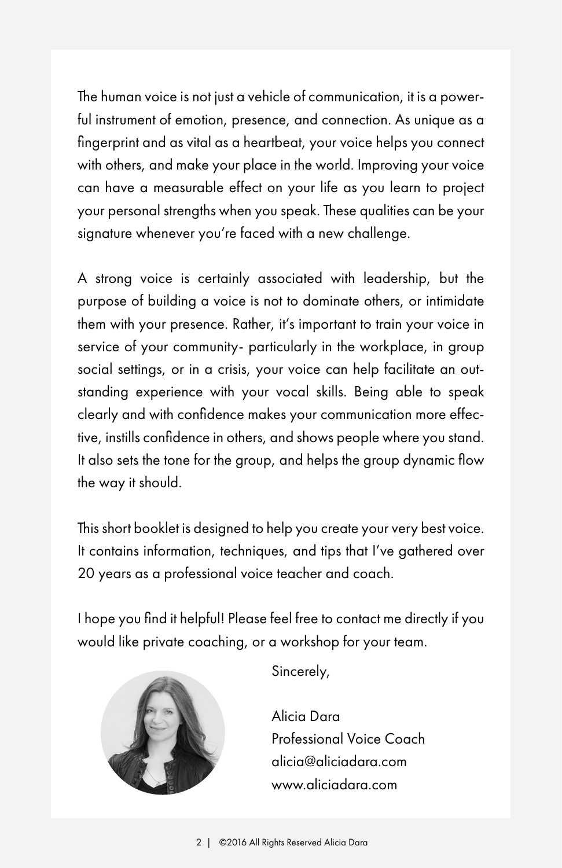The human voice is not just a vehicle of communication, it is a powerful instrument of emotion, presence, and connection. As unique as a fingerprint and as vital as a heartbeat, your voice helps you connect with others, and make your place in the world. Improving your voice can have a measurable effect on your life as you learn to project your personal strengths when you speak. These qualities can be your signature whenever you're faced with a new challenge.

A strong voice is certainly associated with leadership, but the purpose of building a voice is not to dominate others, or intimidate them with your presence. Rather, it's important to train your voice in service of your community- particularly in the workplace, in group social settings, or in a crisis, your voice can help facilitate an outstanding experience with your vocal skills. Being able to speak clearly and with confidence makes your communication more effective, instills confidence in others, and shows people where you stand. It also sets the tone for the group, and helps the group dynamic flow the way it should.

This short booklet is designed to help you create your very best voice. It contains information, techniques, and tips that I've gathered over 20 years as a professional voice teacher and coach.

I hope you find it helpful! Please feel free to contact me directly if you would like private coaching, or a workshop for your team.



Sincerely,

Alicia Dara Professional Voice Coach alicia@aliciadara.com www.aliciadara.com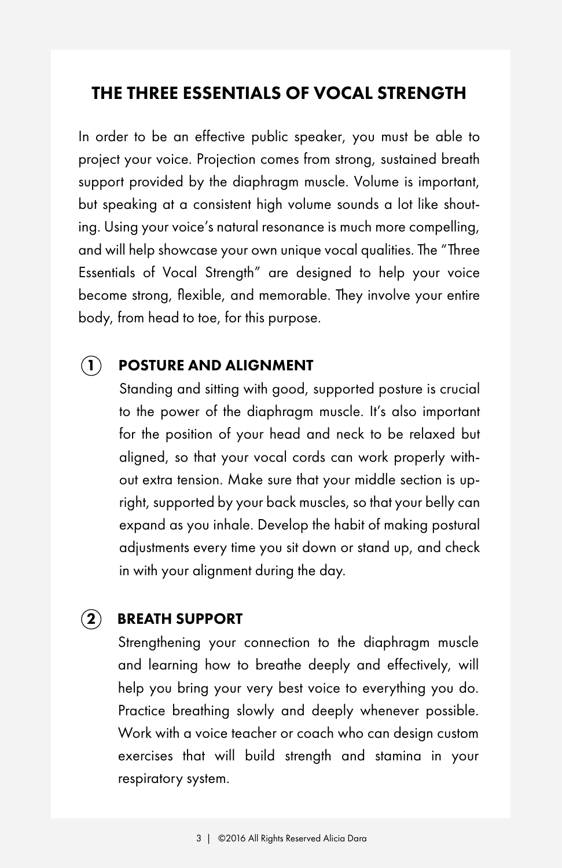#### THE THREE ESSENTIALS OF VOCAL STRENGTH

In order to be an effective public speaker, you must be able to project your voice. Projection comes from strong, sustained breath support provided by the diaphragm muscle. Volume is important, but speaking at a consistent high volume sounds a lot like shouting. Using your voice's natural resonance is much more compelling, and will help showcase your own unique vocal qualities. The "Three Essentials of Vocal Strength" are designed to help your voice become strong, flexible, and memorable. They involve your entire body, from head to toe, for this purpose.

#### POSTURE AND ALIGNMENT  $\left( \mathbf{1}\right)$

Standing and sitting with good, supported posture is crucial to the power of the diaphragm muscle. It's also important for the position of your head and neck to be relaxed but aligned, so that your vocal cords can work properly without extra tension. Make sure that your middle section is upright, supported by your back muscles, so that your belly can expand as you inhale. Develop the habit of making postural adjustments every time you sit down or stand up, and check in with your alignment during the day.

#### $(2)$  BREATH SUPPORT

Strengthening your connection to the diaphragm muscle and learning how to breathe deeply and effectively, will help you bring your very best voice to everything you do. Practice breathing slowly and deeply whenever possible. Work with a voice teacher or coach who can design custom exercises that will build strength and stamina in your respiratory system.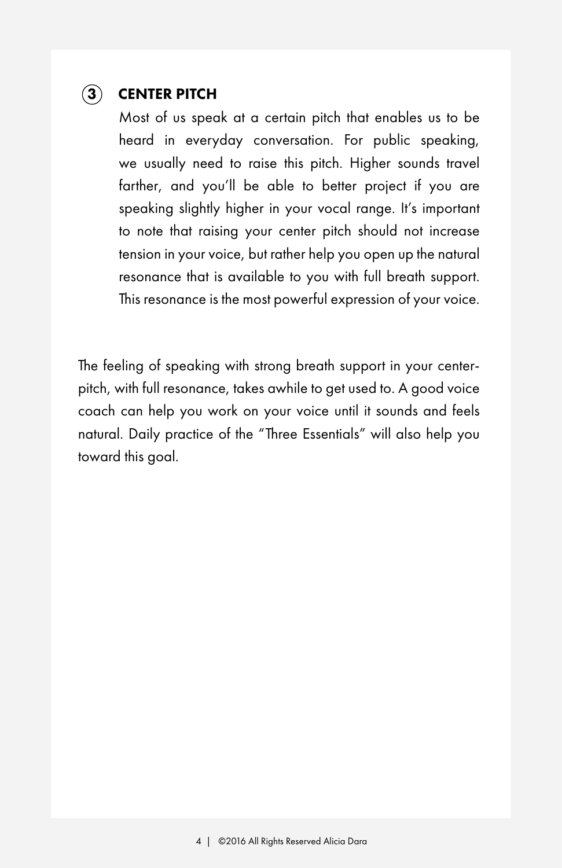#### 3 CENTER PITCH

Most of us speak at a certain pitch that enables us to be heard in everyday conversation. For public speaking, we usually need to raise this pitch. Higher sounds travel farther, and you'll be able to better project if you are speaking slightly higher in your vocal range. It's important to note that raising your center pitch should not increase tension in your voice, but rather help you open up the natural resonance that is available to you with full breath support. This resonance is the most powerful expression of your voice.

The feeling of speaking with strong breath support in your centerpitch, with full resonance, takes awhile to get used to. A good voice coach can help you work on your voice until it sounds and feels natural. Daily practice of the "Three Essentials" will also help you toward this goal.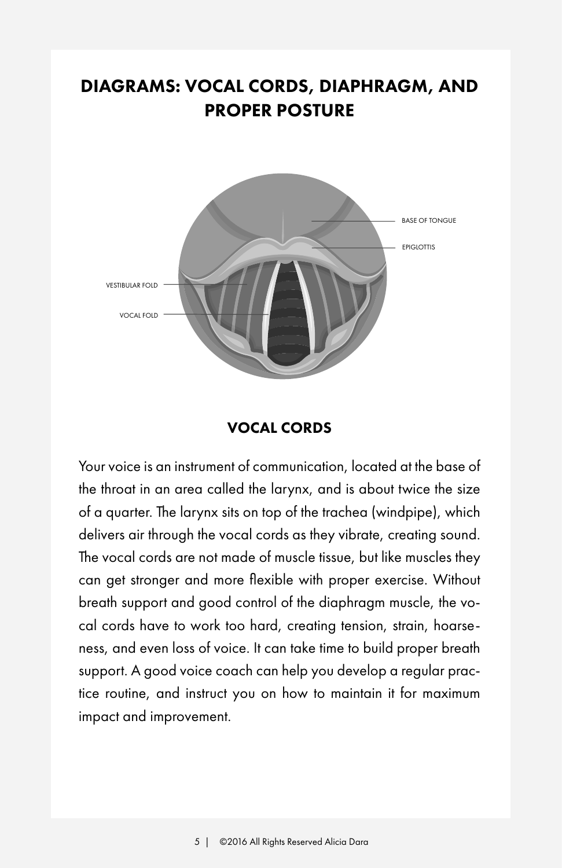## DIAGRAMS: VOCAL CORDS, DIAPHRAGM, AND PROPER POSTURE



#### VOCAL CORDS

Your voice is an instrument of communication, located at the base of the throat in an area called the larynx, and is about twice the size of a quarter. The larynx sits on top of the trachea (windpipe), which delivers air through the vocal cords as they vibrate, creating sound. The vocal cords are not made of muscle tissue, but like muscles they can get stronger and more flexible with proper exercise. Without breath support and good control of the diaphragm muscle, the vocal cords have to work too hard, creating tension, strain, hoarseness, and even loss of voice. It can take time to build proper breath support. A good voice coach can help you develop a regular practice routine, and instruct you on how to maintain it for maximum impact and improvement.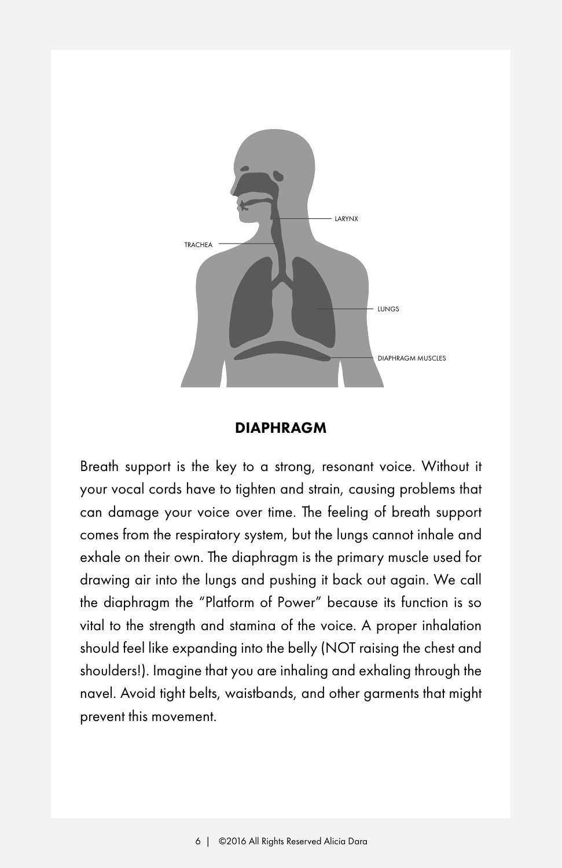

#### **DIAPHRAGM**

Breath support is the key to a strong, resonant voice. Without it your vocal cords have to tighten and strain, causing problems that can damage your voice over time. The feeling of breath support comes from the respiratory system, but the lungs cannot inhale and exhale on their own. The diaphragm is the primary muscle used for drawing air into the lungs and pushing it back out again. We call the diaphragm the "Platform of Power" because its function is so vital to the strength and stamina of the voice. A proper inhalation should feel like expanding into the belly (NOT raising the chest and shoulders!). Imagine that you are inhaling and exhaling through the navel. Avoid tight belts, waistbands, and other garments that might prevent this movement.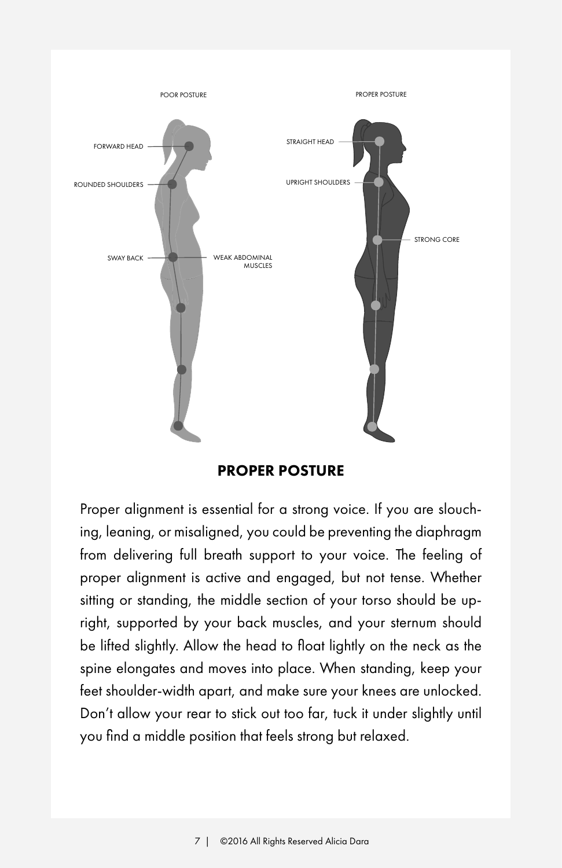

PROPER POSTURE

Proper alignment is essential for a strong voice. If you are slouching, leaning, or misaligned, you could be preventing the diaphragm from delivering full breath support to your voice. The feeling of proper alignment is active and engaged, but not tense. Whether sitting or standing, the middle section of your torso should be upright, supported by your back muscles, and your sternum should be lifted slightly. Allow the head to float lightly on the neck as the spine elongates and moves into place. When standing, keep your feet shoulder-width apart, and make sure your knees are unlocked. Don't allow your rear to stick out too far, tuck it under slightly until you find a middle position that feels strong but relaxed.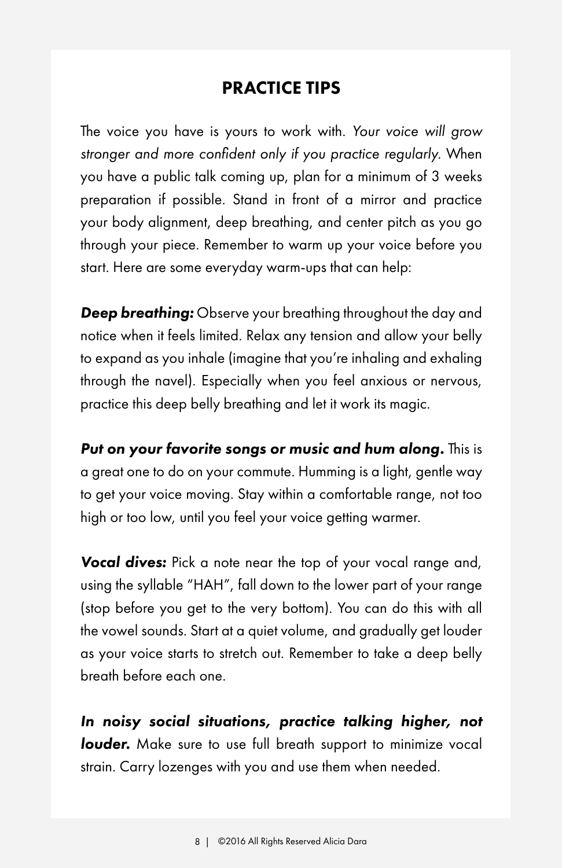#### PRACTICE TIPS

The voice you have is yours to work with. *Your voice will grow stronger and more confident only if you practice regularly.* When you have a public talk coming up, plan for a minimum of 3 weeks preparation if possible. Stand in front of a mirror and practice your body alignment, deep breathing, and center pitch as you go through your piece. Remember to warm up your voice before you start. Here are some everyday warm-ups that can help:

**Deep breathing:** Observe your breathing throughout the day and notice when it feels limited. Relax any tension and allow your belly to expand as you inhale (imagine that you're inhaling and exhaling through the navel). Especially when you feel anxious or nervous, practice this deep belly breathing and let it work its magic.

Put on your favorite songs or music and hum along. This is a great one to do on your commute. Humming is a light, gentle way to get your voice moving. Stay within a comfortable range, not too high or too low, until you feel your voice getting warmer.

*Vocal dives:* Pick a note near the top of your vocal range and, using the syllable "HAH", fall down to the lower part of your range (stop before you get to the very bottom). You can do this with all the vowel sounds. Start at a quiet volume, and gradually get louder as your voice starts to stretch out. Remember to take a deep belly breath before each one.

*In noisy social situations, practice talking higher, not*  **louder.** Make sure to use full breath support to minimize vocal strain. Carry lozenges with you and use them when needed.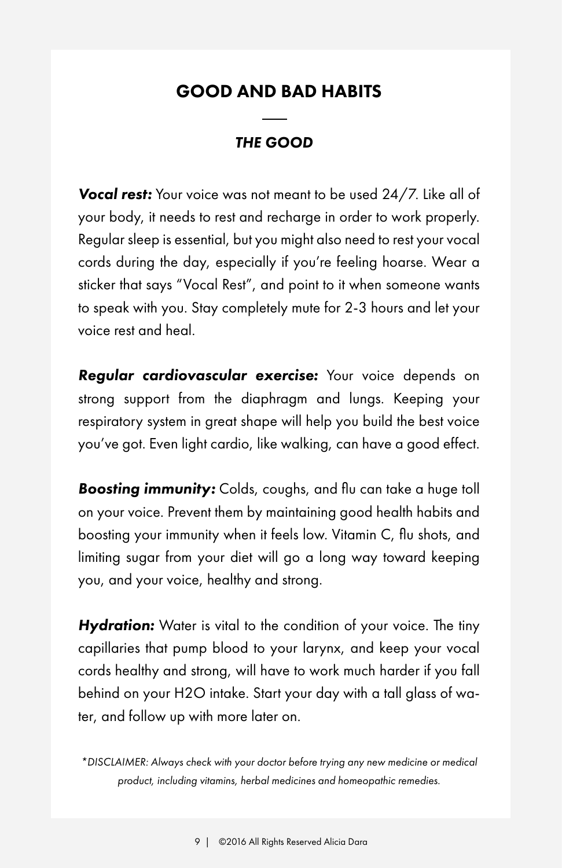#### GOOD AND BAD HABITS

#### *THE GOOD*

*Vocal rest:* Your voice was not meant to be used 24/7. Like all of your body, it needs to rest and recharge in order to work properly. Regular sleep is essential, but you might also need to rest your vocal cords during the day, especially if you're feeling hoarse. Wear a sticker that says "Vocal Rest", and point to it when someone wants to speak with you. Stay completely mute for 2-3 hours and let your voice rest and heal.

*Regular cardiovascular exercise:* Your voice depends on strong support from the diaphragm and lungs. Keeping your respiratory system in great shape will help you build the best voice you've got. Even light cardio, like walking, can have a good effect.

*Boosting immunity:* Colds, coughs, and flu can take a huge toll on your voice. Prevent them by maintaining good health habits and boosting your immunity when it feels low. Vitamin C, flu shots, and limiting sugar from your diet will go a long way toward keeping you, and your voice, healthy and strong.

*Hydration:* Water is vital to the condition of your voice. The tiny capillaries that pump blood to your larynx, and keep your vocal cords healthy and strong, will have to work much harder if you fall behind on your H2O intake. Start your day with a tall glass of water, and follow up with more later on.

*\*DISCLAIMER: Always check with your doctor before trying any new medicine or medical product, including vitamins, herbal medicines and homeopathic remedies.*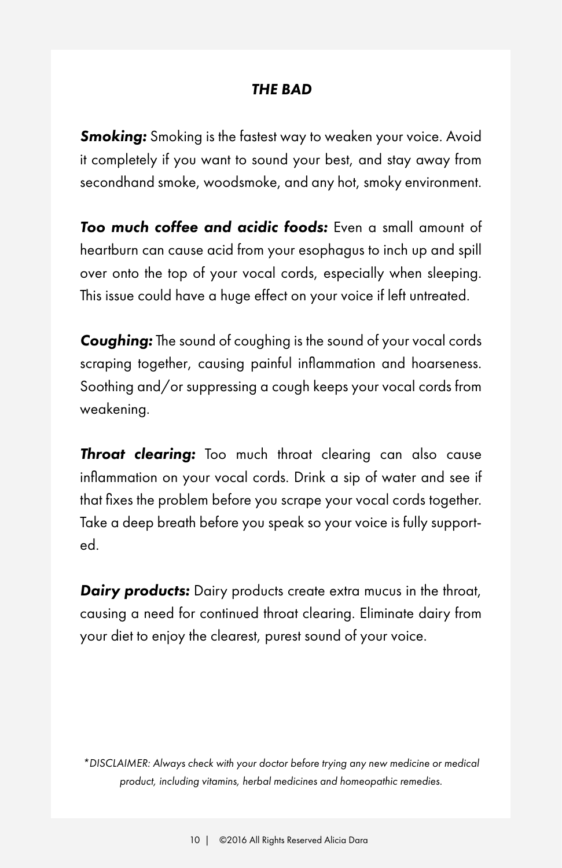#### *THE BAD*

**Smoking:** Smoking is the fastest way to weaken your voice. Avoid it completely if you want to sound your best, and stay away from secondhand smoke, woodsmoke, and any hot, smoky environment.

*Too much coffee and acidic foods:* Even a small amount of heartburn can cause acid from your esophagus to inch up and spill over onto the top of your vocal cords, especially when sleeping. This issue could have a huge effect on your voice if left untreated.

*Coughing:* The sound of coughing is the sound of your vocal cords scraping together, causing painful inflammation and hoarseness. Soothing and/or suppressing a cough keeps your vocal cords from weakening.

**Throat clearing:** Too much throat clearing can also cause inflammation on your vocal cords. Drink a sip of water and see if that fixes the problem before you scrape your vocal cords together. Take a deep breath before you speak so your voice is fully supported.

**Dairy products:** Dairy products create extra mucus in the throat, causing a need for continued throat clearing. Eliminate dairy from your diet to enjoy the clearest, purest sound of your voice.

*\*DISCLAIMER: Always check with your doctor before trying any new medicine or medical product, including vitamins, herbal medicines and homeopathic remedies.*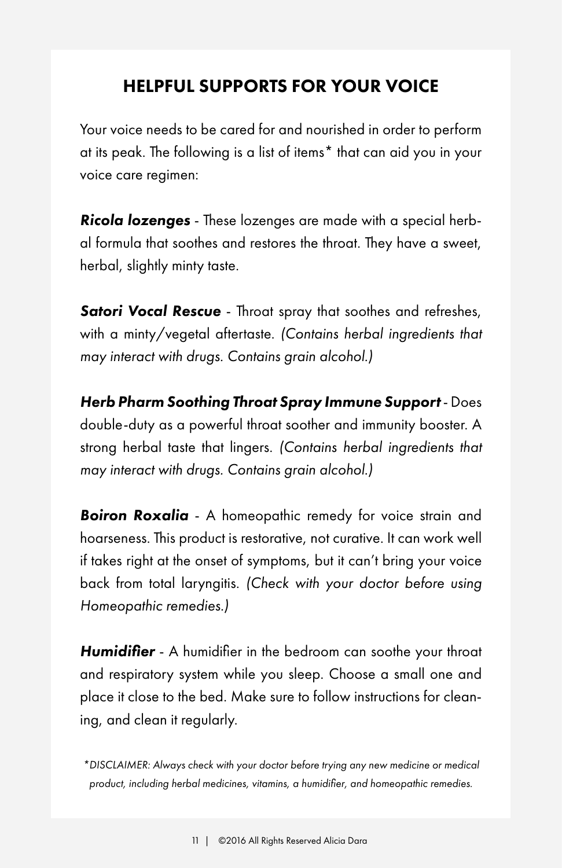### HELPFUL SUPPORTS FOR YOUR VOICE

Your voice needs to be cared for and nourished in order to perform at its peak. The following is a list of items\* that can aid you in your voice care regimen:

*Ricola lozenges* - These lozenges are made with a special herbal formula that soothes and restores the throat. They have a sweet, herbal, slightly minty taste.

*Satori Vocal Rescue* - Throat spray that soothes and refreshes, with a minty/vegetal aftertaste. *(Contains herbal ingredients that may interact with drugs. Contains grain alcohol.)*

*Herb Pharm Soothing Throat Spray Immune Support* - Does double-duty as a powerful throat soother and immunity booster. A strong herbal taste that lingers. *(Contains herbal ingredients that may interact with drugs. Contains grain alcohol.)*

*Boiron Roxalia* - A homeopathic remedy for voice strain and hoarseness. This product is restorative, not curative. It can work well if takes right at the onset of symptoms, but it can't bring your voice back from total laryngitis. *(Check with your doctor before using Homeopathic remedies.)*

*Humidifier* - A humidifier in the bedroom can soothe your throat and respiratory system while you sleep. Choose a small one and place it close to the bed. Make sure to follow instructions for cleaning, and clean it regularly.

*\*DISCLAIMER: Always check with your doctor before trying any new medicine or medical product, including herbal medicines, vitamins, a humidifier, and homeopathic remedies.*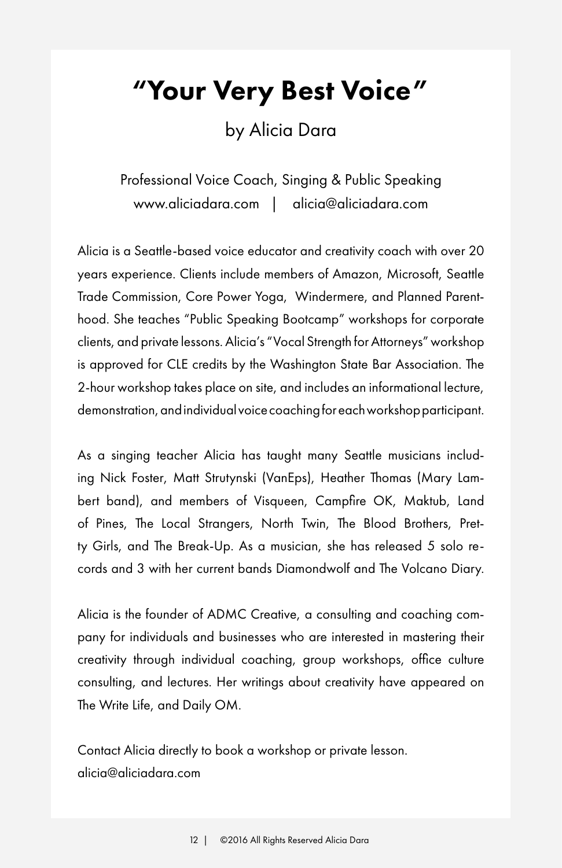"Your Very Best Voice"

by Alicia Dara

Professional Voice Coach, Singing & Public Speaking www.aliciadara.com | alicia@aliciadara.com

Alicia is a Seattle-based voice educator and creativity coach with over 20 years experience. Clients include members of Amazon, Microsoft, Seattle Trade Commission, Core Power Yoga, Windermere, and Planned Parenthood. She teaches "Public Speaking Bootcamp" workshops for corporate clients, and private lessons. Alicia's "Vocal Strength for Attorneys" workshop is approved for CLE credits by the Washington State Bar Association. The 2-hour workshop takes place on site, and includes an informational lecture, demonstration, and individual voice coaching for each workshop participant.

As a singing teacher Alicia has taught many Seattle musicians including Nick Foster, Matt Strutynski (VanEps), Heather Thomas (Mary Lambert band), and members of Visqueen, Campfire OK, Maktub, Land of Pines, The Local Strangers, North Twin, The Blood Brothers, Pretty Girls, and The Break-Up. As a musician, she has released 5 solo records and 3 with her current bands Diamondwolf and The Volcano Diary.

Alicia is the founder of ADMC Creative, a consulting and coaching company for individuals and businesses who are interested in mastering their creativity through individual coaching, group workshops, office culture consulting, and lectures. Her writings about creativity have appeared on The Write Life, and Daily OM.

Contact Alicia directly to book a workshop or private lesson. alicia@aliciadara.com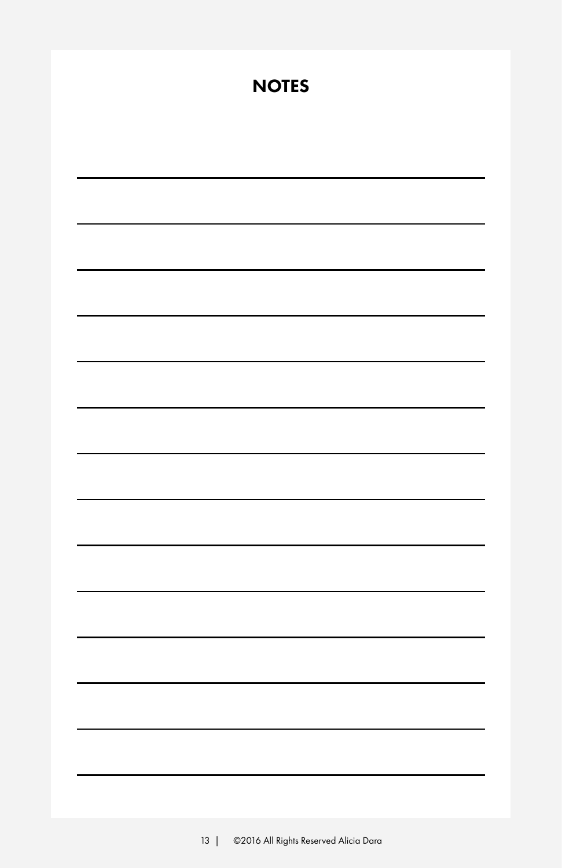| <b>NOTES</b> |
|--------------|
|              |
|              |
|              |
|              |
|              |
|              |
|              |
|              |
|              |
|              |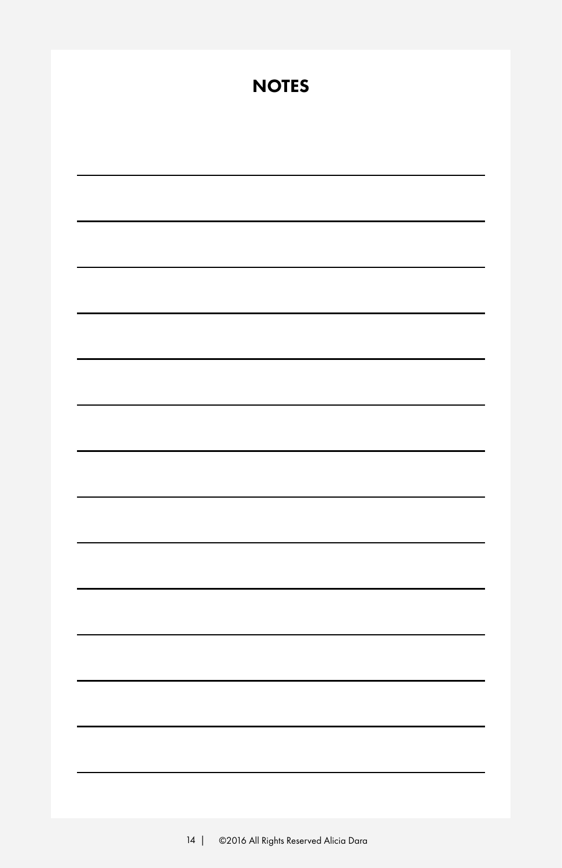| <b>NOTES</b> |
|--------------|
|              |
|              |
|              |
|              |
|              |
|              |
|              |
|              |
|              |
|              |
|              |